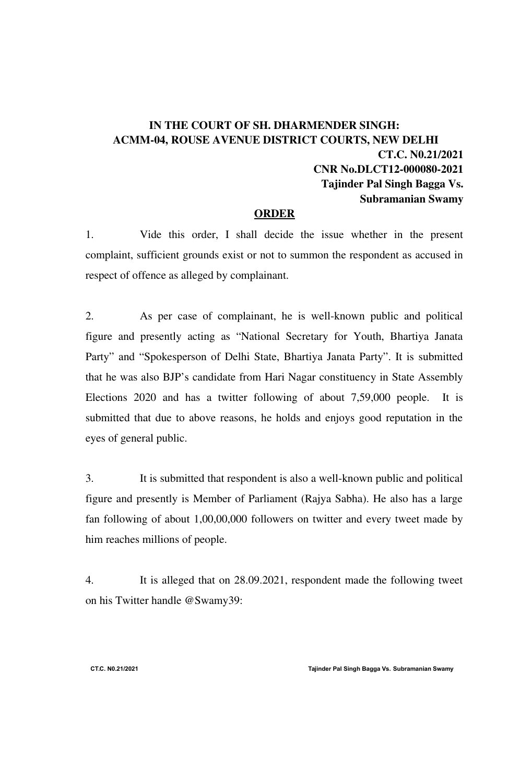## IN THE COURT OF SH. DHARMENDER SINGH: ACMM04, ROUSE AVENUE DISTRICT COURTS, NEW DELHI CT.C. N0.21/2021 CNR No.DLCT12-000080-2021 Tajinder Pal Singh Bagga Vs. Subramanian Swamy

## **ORDER**

1. Vide this order, I shall decide the issue whether in the present complaint, sufficient grounds exist or not to summon the respondent as accused in respect of offence as alleged by complainant.

2. As per case of complainant, he is well-known public and political figure and presently acting as "National Secretary for Youth, Bhartiya Janata Party" and "Spokesperson of Delhi State, Bhartiya Janata Party". It is submitted that he was also BJP's candidate from Hari Nagar constituency in State Assembly Elections  $2020$  and has a twitter following of about  $7,59,000$  people. It is submitted that due to above reasons, he holds and enjoys good reputation in the eyes of general public.

3. It is submitted that respondent is also a well-known public and political figure and presently is Member of Parliament (Rajya Sabha). He also has a large fan following of about 1,00,00,000 followers on twitter and every tweet made by him reaches millions of people.

4. It is alleged that on 28.09.2021, respondent made the following tweet on his Twitter handle @Swamy39:

 **CT.C. N0.21/2021 Tajinder Pal Singh Bagga Vs. Subramanian Swamy**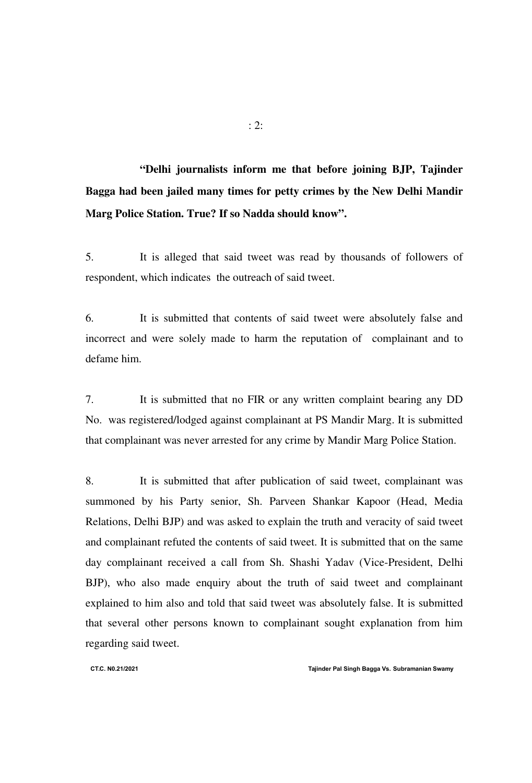"Delhi journalists inform me that before joining BJP, Tajinder Bagga had been jailed many times for petty crimes by the New Delhi Mandir Marg Police Station. True? If so Nadda should know".

5. It is alleged that said tweet was read by thousands of followers of respondent, which indicates the outreach of said tweet.

6. It is submitted that contents of said tweet were absolutely false and incorrect and were solely made to harm the reputation of complainant and to defame him.

7. It is submitted that no FIR or any written complaint bearing any DD No. was registered/lodged against complainant at PS Mandir Marg. It is submitted that complainant was never arrested for any crime by Mandir Marg Police Station.

8. It is submitted that after publication of said tweet, complainant was summoned by his Party senior, Sh. Parveen Shankar Kapoor (Head, Media Relations, Delhi BJP) and was asked to explain the truth and veracity of said tweet and complainant refuted the contents of said tweet. It is submitted that on the same day complainant received a call from Sh. Shashi Yadav (Vice-President, Delhi BJP), who also made enquiry about the truth of said tweet and complainant explained to him also and told that said tweet was absolutely false. It is submitted that several other persons known to complainant sought explanation from him regarding said tweet.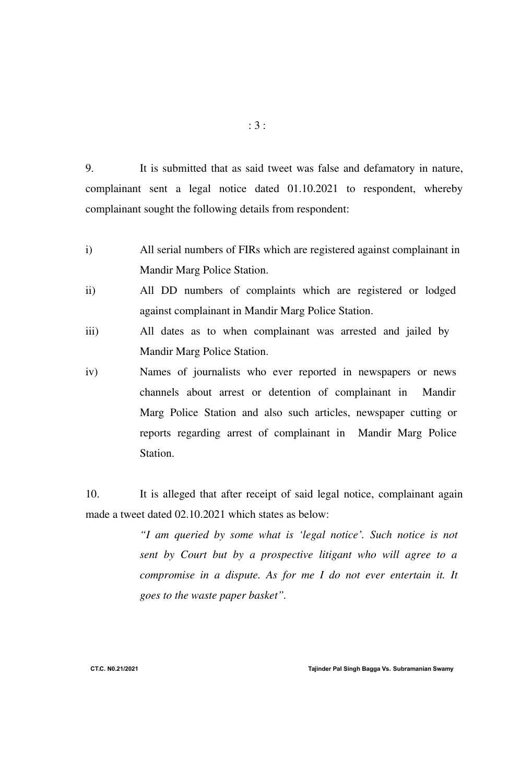9. It is submitted that as said tweet was false and defamatory in nature, complainant sent a legal notice dated  $01.10.2021$  to respondent, whereby complainant sought the following details from respondent:

- i) All serial numbers of FIRs which are registered against complainant in Mandir Marg Police Station.
- ii) All DD numbers of complaints which are registered or lodged against complainant in Mandir Marg Police Station.
- iii) All dates as to when complainant was arrested and jailed by Mandir Marg Police Station.
- iv) Names of journalists who ever reported in newspapers or news channels about arrest or detention of complainant in Mandir Marg Police Station and also such articles, newspaper cutting or reports regarding arrest of complainant in Mandir Marg Police Station.

10. It is alleged that after receipt of said legal notice, complainant again made a tweet dated 02.10.2021 which states as below:

> *"I am queried by some what is 'legal notice'. Such notice is not sent by Court but by a prospective litigant who will agree to a compromise in a dispute. As for me I do not ever entertain it. It goes to the waste paper basket".*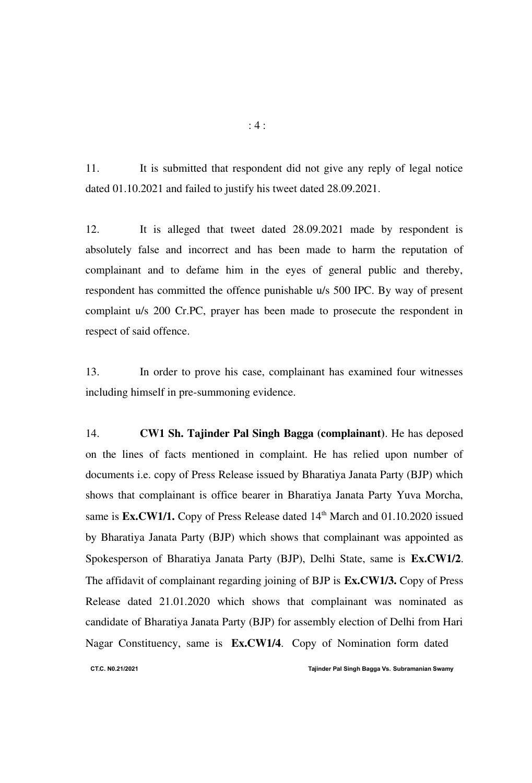11. It is submitted that respondent did not give any reply of legal notice dated 01.10.2021 and failed to justify his tweet dated 28.09.2021.

12. It is alleged that tweet dated 28.09.2021 made by respondent is absolutely false and incorrect and has been made to harm the reputation of complainant and to defame him in the eyes of general public and thereby, respondent has committed the offence punishable u/s 500 IPC. By way of present complaint u/s 200 Cr.PC, prayer has been made to prosecute the respondent in respect of said offence.

13. In order to prove his case, complainant has examined four witnesses including himself in pre-summoning evidence.

14. CW1 Sh. Tajinder Pal Singh Bagga (complainant). He has deposed on the lines of facts mentioned in complaint. He has relied upon number of documents i.e. copy of Press Release issued by Bharatiya Janata Party (BJP) which shows that complainant is office bearer in Bharatiya Janata Party Yuva Morcha, same is  $Ex.CW1/1$ . Copy of Press Release dated  $14<sup>th</sup>$  March and 01.10.2020 issued by Bharatiya Janata Party (BJP) which shows that complainant was appointed as Spokesperson of Bharatiya Janata Party (BJP), Delhi State, same is Ex.CW1/2. The affidavit of complainant regarding joining of BJP is Ex.CW1/3. Copy of Press Release dated 21.01.2020 which shows that complainant was nominated as candidate of Bharatiya Janata Party (BJP) for assembly election of Delhi from Hari Nagar Constituency, same is **Ex.CW1/4**. Copy of Nomination form dated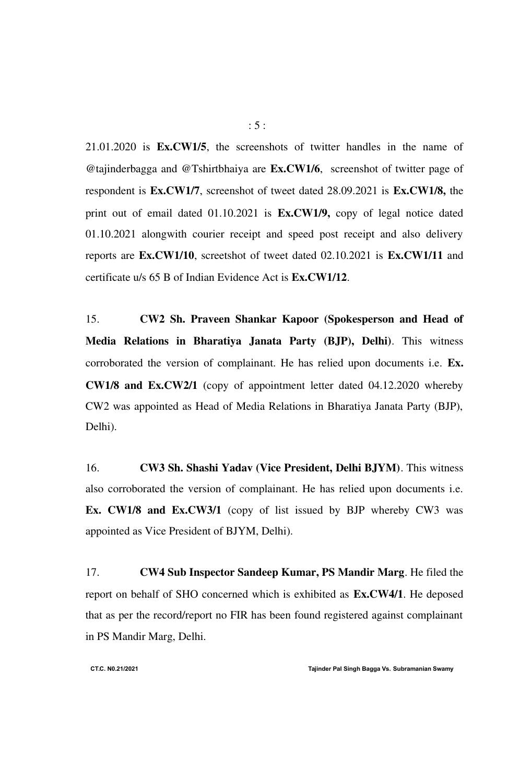$21.01.2020$  is  $Ex.CW1/5$ , the screenshots of twitter handles in the name of @tajinderbagga and @Tshirtbhaiya are Ex.CW1/6, screenshot of twitter page of respondent is Ex.CW1/7, screenshot of tweet dated 28.09.2021 is Ex.CW1/8, the print out of email dated 01.10.2021 is **Ex.CW1/9**, copy of legal notice dated 01.10.2021 alongwith courier receipt and speed post receipt and also delivery reports are Ex.CW1/10, screetshot of tweet dated 02.10.2021 is Ex.CW1/11 and certificate u/s 65 B of Indian Evidence Act is Ex.CW1/12.

15. CW2 Sh. Praveen Shankar Kapoor (Spokesperson and Head of Media Relations in Bharatiya Janata Party (BJP), Delhi). This witness corroborated the version of complainant. He has relied upon documents i.e. Ex. CW1/8 and Ex.CW2/1 (copy of appointment letter dated 04.12.2020 whereby CW2 was appointed as Head of Media Relations in Bharatiya Janata Party (BJP), Delhi).

16. CW3 Sh. Shashi Yadav (Vice President, Delhi BJYM). This witness also corroborated the version of complainant. He has relied upon documents i.e. Ex. CW1/8 and Ex.CW3/1 (copy of list issued by BJP whereby CW3 was appointed as Vice President of BJYM, Delhi).

17. CW4 Sub Inspector Sandeep Kumar, PS Mandir Marg. He filed the report on behalf of SHO concerned which is exhibited as Ex.CW4/1. He deposed that as per the record/report no FIR has been found registered against complainant in PS Mandir Marg, Delhi.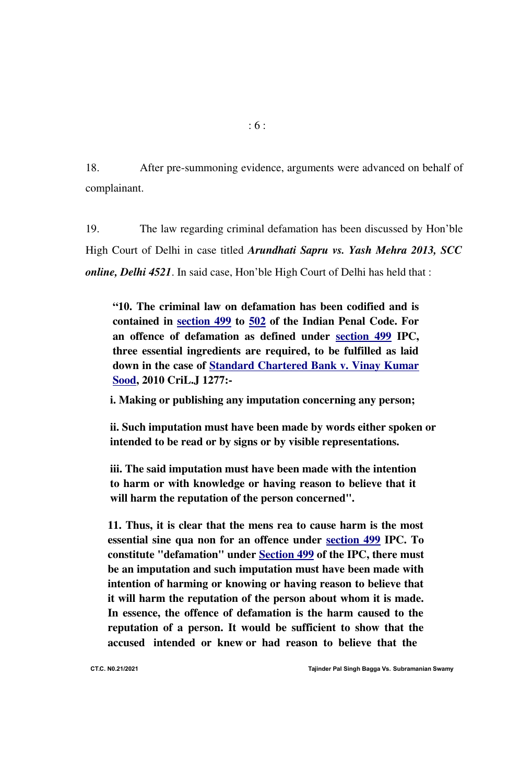18. After pre-summoning evidence, arguments were advanced on behalf of complainant.

19. The law regarding criminal defamation has been discussed by Hon'ble High Court of Delhi in case titled *Arundhati Sapru vs. Yash Mehra 2013, SCC online, Delhi 4521*. In said case, Hon'ble High Court of Delhi has held that :

"10. The criminal law on defamation has been codified and is contained in section 499 to 502 of the Indian Penal Code. For an offence of defamation as defined under section 499 IPC, three essential ingredients are required, to be fulfilled as laid down in the case of Standard Chartered Bank v. Vinay Kumar Sood, 2010 CriL.J 1277:

i. Making or publishing any imputation concerning any person;

ii. Such imputation must have been made by words either spoken or intended to be read or by signs or by visible representations.

iii. The said imputation must have been made with the intention to harm or with knowledge or having reason to believe that it will harm the reputation of the person concerned".

11. Thus, it is clear that the mens rea to cause harm is the most essential sine qua non for an offence under section 499 IPC. To constitute "defamation" under Section 499 of the IPC, there must be an imputation and such imputation must have been made with intention of harming or knowing or having reason to believe that it will harm the reputation of the person about whom it is made. In essence, the offence of defamation is the harm caused to the reputation of a person. It would be sufficient to show that the accused intended or knew or had reason to believe that the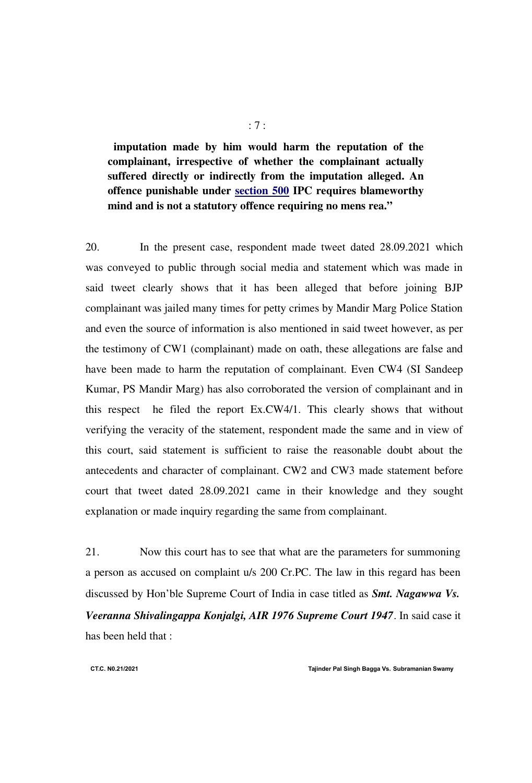imputation made by him would harm the reputation of the complainant, irrespective of whether the complainant actually suffered directly or indirectly from the imputation alleged. An offence punishable under section 500 IPC requires blameworthy mind and is not a statutory offence requiring no mens rea."

20. In the present case, respondent made tweet dated 28.09.2021 which was conveyed to public through social media and statement which was made in said tweet clearly shows that it has been alleged that before joining BJP complainant was jailed many times for petty crimes by Mandir Marg Police Station and even the source of information is also mentioned in said tweet however, as per the testimony of CW1 (complainant) made on oath, these allegations are false and have been made to harm the reputation of complainant. Even CW4 (SI Sandeep Kumar, PS Mandir Marg) has also corroborated the version of complainant and in this respect he filed the report Ex.CW4/1. This clearly shows that without verifying the veracity of the statement, respondent made the same and in view of this court, said statement is sufficient to raise the reasonable doubt about the antecedents and character of complainant. CW2 and CW3 made statement before court that tweet dated  $28.09.2021$  came in their knowledge and they sought explanation or made inquiry regarding the same from complainant.

21. Now this court has to see that what are the parameters for summoning a person as accused on complaint u/s 200 Cr.PC. The law in this regard has been discussed by Hon'ble Supreme Court of India in case titled as *Smt. Nagawwa Vs. Veeranna Shivalingappa Konjalgi, AIR 1976 Supreme Court 1947*. In said case it has been held that :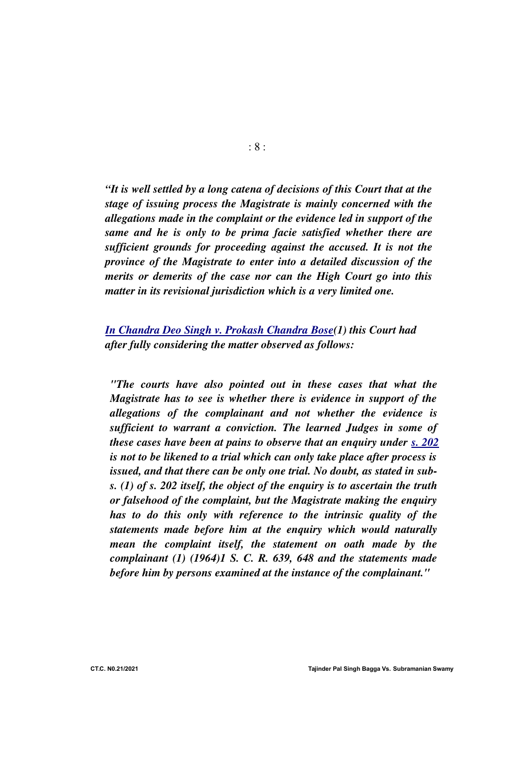*"It is well settled by a long catena of decisions of this Court that at the stage of issuing process the Magistrate is mainly concerned with the allegations made in the complaint or the evidence led in support of the same and he is only to be prima facie satisfied whether there are sufficient grounds for proceeding against the accused. It is not the province of the Magistrate to enter into a detailed discussion of the merits or demerits of the case nor can the High Court go into this matter in its revisional jurisdiction which is a very limited one.*

*In Chandra Deo Singh v. Prokash Chandra Bose(1) this Court had after fully considering the matter observed as follows:* 

*"The courts have also pointed out in these cases that what the Magistrate has to see is whether there is evidence in support of the allegations of the complainant and not whether the evidence is sufficient to warrant a conviction. The learned Judges in some of these cases have been at pains to observe that an enquiry under s. 202 is not to be likened to a trial which can only take place after process is issued, and that there can be only one trial. No doubt, as stated in subs. (1) of s. 202 itself, the object of the enquiry is to ascertain the truth or falsehood of the complaint, but the Magistrate making the enquiry has to do this only with reference to the intrinsic quality of the statements made before him at the enquiry which would naturally mean the complaint itself, the statement on oath made by the complainant (1) (1964)1 S. C. R. 639, 648 and the statements made before him by persons examined at the instance of the complainant."*